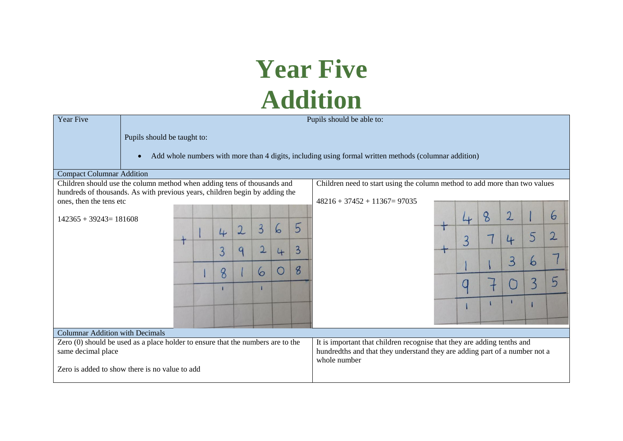## **Year Five Addition**

| Year Five                                                                                                                                             | Pupils should be able to:                                                                                          |  |  |   |                |                                                                                                                                                                       |   |                |                                 |  |                |   |                |   |              |
|-------------------------------------------------------------------------------------------------------------------------------------------------------|--------------------------------------------------------------------------------------------------------------------|--|--|---|----------------|-----------------------------------------------------------------------------------------------------------------------------------------------------------------------|---|----------------|---------------------------------|--|----------------|---|----------------|---|--------------|
|                                                                                                                                                       | Pupils should be taught to:                                                                                        |  |  |   |                |                                                                                                                                                                       |   |                |                                 |  |                |   |                |   |              |
|                                                                                                                                                       | Add whole numbers with more than 4 digits, including using formal written methods (columnar addition)<br>$\bullet$ |  |  |   |                |                                                                                                                                                                       |   |                |                                 |  |                |   |                |   |              |
| <b>Compact Columnar Addition</b>                                                                                                                      |                                                                                                                    |  |  |   |                |                                                                                                                                                                       |   |                |                                 |  |                |   |                |   |              |
| Children should use the column method when adding tens of thousands and<br>Children need to start using the column method to add more than two values |                                                                                                                    |  |  |   |                |                                                                                                                                                                       |   |                |                                 |  |                |   |                |   |              |
| hundreds of thousands. As with previous years, children begin by adding the                                                                           |                                                                                                                    |  |  |   |                |                                                                                                                                                                       |   |                |                                 |  |                |   |                |   |              |
| ones, then the tens etc                                                                                                                               |                                                                                                                    |  |  |   |                |                                                                                                                                                                       |   |                | $48216 + 37452 + 11367 = 97035$ |  |                |   |                |   |              |
| $142365 + 39243 = 181608$                                                                                                                             |                                                                                                                    |  |  |   |                |                                                                                                                                                                       |   |                |                                 |  | 4              | 8 | $\overline{2}$ |   | 6            |
|                                                                                                                                                       |                                                                                                                    |  |  | 4 | $\overline{2}$ | $\overline{3}$                                                                                                                                                        | 6 | 5              |                                 |  | $\overline{3}$ |   | 4              | 5 | $\mathbf{2}$ |
|                                                                                                                                                       |                                                                                                                    |  |  | 3 | 9              | $\overline{2}$                                                                                                                                                        | 4 | $\overline{3}$ |                                 |  |                |   |                |   |              |
|                                                                                                                                                       |                                                                                                                    |  |  |   |                |                                                                                                                                                                       | Ő | 8              |                                 |  |                |   | 3              | 6 |              |
|                                                                                                                                                       |                                                                                                                    |  |  | 8 |                | 6                                                                                                                                                                     |   |                |                                 |  | u              |   |                |   |              |
|                                                                                                                                                       |                                                                                                                    |  |  |   |                |                                                                                                                                                                       |   |                |                                 |  |                |   |                |   |              |
|                                                                                                                                                       |                                                                                                                    |  |  |   |                |                                                                                                                                                                       |   |                |                                 |  |                |   |                |   |              |
|                                                                                                                                                       |                                                                                                                    |  |  |   |                |                                                                                                                                                                       |   |                |                                 |  |                |   |                |   |              |
| <b>Columnar Addition with Decimals</b>                                                                                                                |                                                                                                                    |  |  |   |                |                                                                                                                                                                       |   |                |                                 |  |                |   |                |   |              |
| Zero (0) should be used as a place holder to ensure that the numbers are to the<br>same decimal place                                                 |                                                                                                                    |  |  |   |                | It is important that children recognise that they are adding tenths and<br>hundredths and that they understand they are adding part of a number not a<br>whole number |   |                |                                 |  |                |   |                |   |              |
| Zero is added to show there is no value to add                                                                                                        |                                                                                                                    |  |  |   |                |                                                                                                                                                                       |   |                |                                 |  |                |   |                |   |              |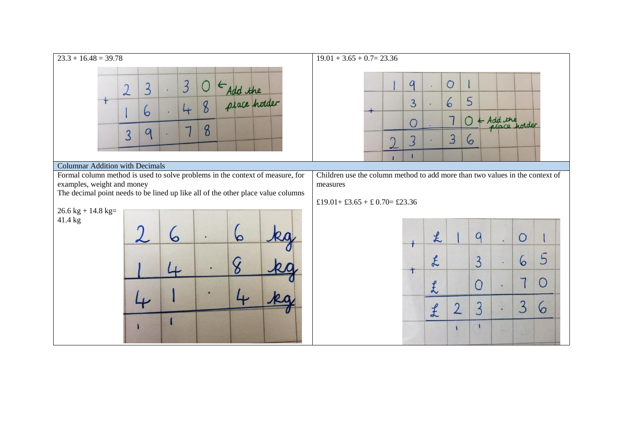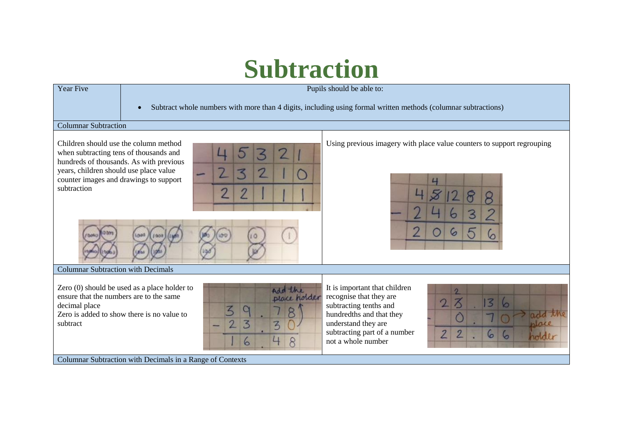## **Subtraction**

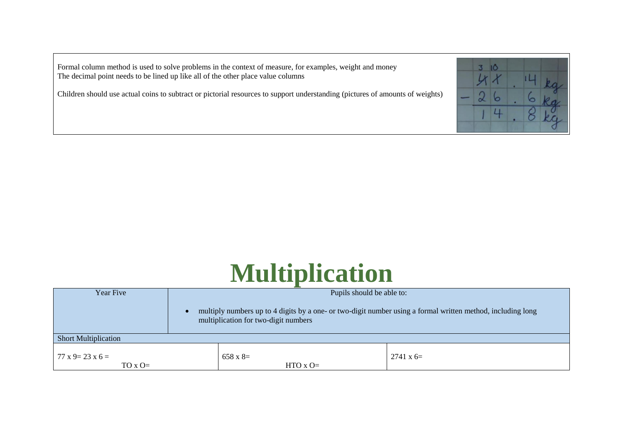Formal column method is used to solve problems in the context of measure, for examples, weight and money The decimal point needs to be lined up like all of the other place value columns

Children should use actual coins to subtract or pictorial resources to support understanding (pictures of amounts of weights)



## **Multiplication**

| Year Five                                       |                 | Pupils should be able to:                                                                                                                           |                  |  |  |  |  |  |  |
|-------------------------------------------------|-----------------|-----------------------------------------------------------------------------------------------------------------------------------------------------|------------------|--|--|--|--|--|--|
|                                                 |                 | multiply numbers up to 4 digits by a one- or two-digit number using a formal written method, including long<br>multiplication for two-digit numbers |                  |  |  |  |  |  |  |
| <b>Short Multiplication</b>                     |                 |                                                                                                                                                     |                  |  |  |  |  |  |  |
| $77 \times 9 = 23 \times 6 =$<br>$TO \times O=$ | $658 \times 8=$ | $HTO X O=$                                                                                                                                          | $2741 \times 6=$ |  |  |  |  |  |  |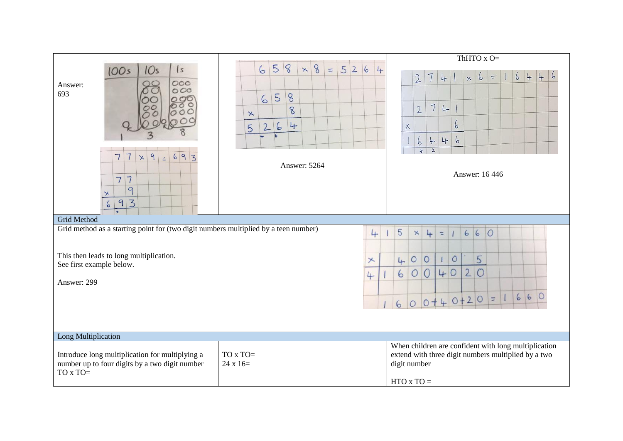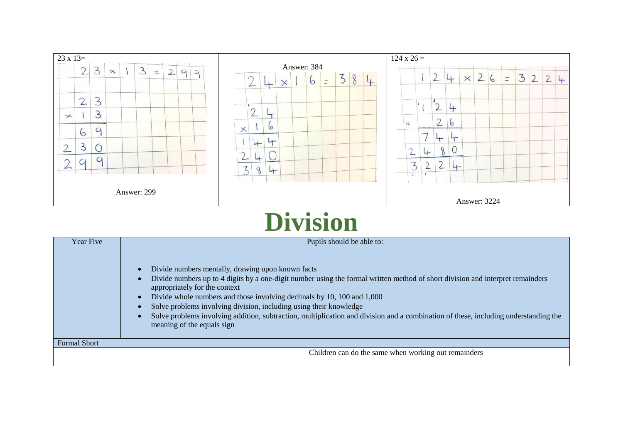

## **Division**

| Year Five           | Pupils should be able to:                                                                                                                                                                                                                                                                                                                                                                                                                                                                                                                                           |
|---------------------|---------------------------------------------------------------------------------------------------------------------------------------------------------------------------------------------------------------------------------------------------------------------------------------------------------------------------------------------------------------------------------------------------------------------------------------------------------------------------------------------------------------------------------------------------------------------|
|                     | Divide numbers mentally, drawing upon known facts<br>$\bullet$<br>Divide numbers up to 4 digits by a one-digit number using the formal written method of short division and interpret remainders<br>appropriately for the context<br>Divide whole numbers and those involving decimals by 10, 100 and 1,000<br>$\bullet$<br>Solve problems involving division, including using their knowledge<br>Solve problems involving addition, subtraction, multiplication and division and a combination of these, including understanding the<br>meaning of the equals sign |
| <b>Formal Short</b> |                                                                                                                                                                                                                                                                                                                                                                                                                                                                                                                                                                     |
|                     | Children can do the same when working out remainders                                                                                                                                                                                                                                                                                                                                                                                                                                                                                                                |